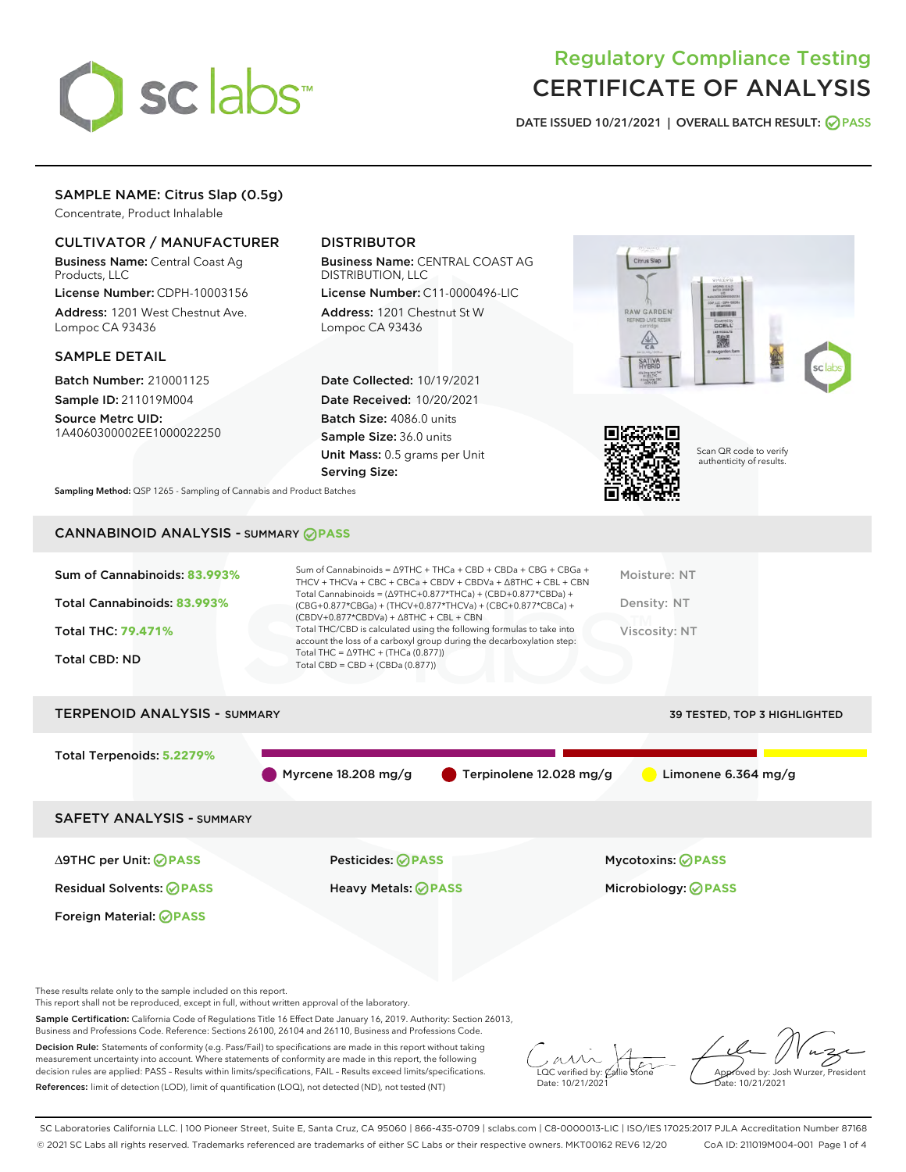

## Regulatory Compliance Testing CERTIFICATE OF ANALYSIS

DATE ISSUED 10/21/2021 | OVERALL BATCH RESULT: @ PASS

## SAMPLE NAME: Citrus Slap (0.5g)

Concentrate, Product Inhalable

## CULTIVATOR / MANUFACTURER

Business Name: Central Coast Ag Products, LLC

License Number: CDPH-10003156 Address: 1201 West Chestnut Ave. Lompoc CA 93436

## SAMPLE DETAIL

Batch Number: 210001125 Sample ID: 211019M004

Source Metrc UID: 1A4060300002EE1000022250

## DISTRIBUTOR

Business Name: CENTRAL COAST AG DISTRIBUTION, LLC

License Number: C11-0000496-LIC Address: 1201 Chestnut St W Lompoc CA 93436

Date Collected: 10/19/2021 Date Received: 10/20/2021 Batch Size: 4086.0 units Sample Size: 36.0 units Unit Mass: 0.5 grams per Unit Serving Size:





Scan QR code to verify authenticity of results.

Sampling Method: QSP 1265 - Sampling of Cannabis and Product Batches

## CANNABINOID ANALYSIS - SUMMARY **PASS**

| Sum of Cannabinoids: 83.993% | Sum of Cannabinoids = $\triangle$ 9THC + THCa + CBD + CBDa + CBG + CBGa +<br>THCV + THCVa + CBC + CBCa + CBDV + CBDVa + $\Delta$ 8THC + CBL + CBN                                    | Moisture: NT  |
|------------------------------|--------------------------------------------------------------------------------------------------------------------------------------------------------------------------------------|---------------|
| Total Cannabinoids: 83.993%  | Total Cannabinoids = $(\Delta$ 9THC+0.877*THCa) + (CBD+0.877*CBDa) +<br>(CBG+0.877*CBGa) + (THCV+0.877*THCVa) + (CBC+0.877*CBCa) +<br>$(CBDV+0.877*CBDVa) + \Delta 8THC + CBL + CBN$ | Density: NT   |
| <b>Total THC: 79.471%</b>    | Total THC/CBD is calculated using the following formulas to take into<br>account the loss of a carboxyl group during the decarboxylation step:                                       | Viscosity: NT |
| <b>Total CBD: ND</b>         | Total THC = $\triangle$ 9THC + (THCa (0.877))<br>Total CBD = $CBD + (CBDa (0.877))$                                                                                                  |               |
|                              |                                                                                                                                                                                      |               |

# TERPENOID ANALYSIS - SUMMARY 39 TESTED, TOP 3 HIGHLIGHTED Total Terpenoids: **5.2279%** Myrcene 18.208 mg/g  $\bullet$  Terpinolene 12.028 mg/g  $\bullet$  Limonene 6.364 mg/g SAFETY ANALYSIS - SUMMARY ∆9THC per Unit: **PASS** Pesticides: **PASS** Mycotoxins: **PASS**

Residual Solvents: **PASS** Heavy Metals: **PASS** Microbiology: **PASS**

Foreign Material: **PASS**

These results relate only to the sample included on this report.

This report shall not be reproduced, except in full, without written approval of the laboratory.

Sample Certification: California Code of Regulations Title 16 Effect Date January 16, 2019. Authority: Section 26013, Business and Professions Code. Reference: Sections 26100, 26104 and 26110, Business and Professions Code.

Decision Rule: Statements of conformity (e.g. Pass/Fail) to specifications are made in this report without taking measurement uncertainty into account. Where statements of conformity are made in this report, the following decision rules are applied: PASS – Results within limits/specifications, FAIL – Results exceed limits/specifications. References: limit of detection (LOD), limit of quantification (LOQ), not detected (ND), not tested (NT)

 $\overline{\text{LOC}}$  verified by:  $\mathcal C$ Date: 10/21/2021

Aved by: Josh Wurzer, President Date: 10/21/2021

SC Laboratories California LLC. | 100 Pioneer Street, Suite E, Santa Cruz, CA 95060 | 866-435-0709 | sclabs.com | C8-0000013-LIC | ISO/IES 17025:2017 PJLA Accreditation Number 87168 © 2021 SC Labs all rights reserved. Trademarks referenced are trademarks of either SC Labs or their respective owners. MKT00162 REV6 12/20 CoA ID: 211019M004-001 Page 1 of 4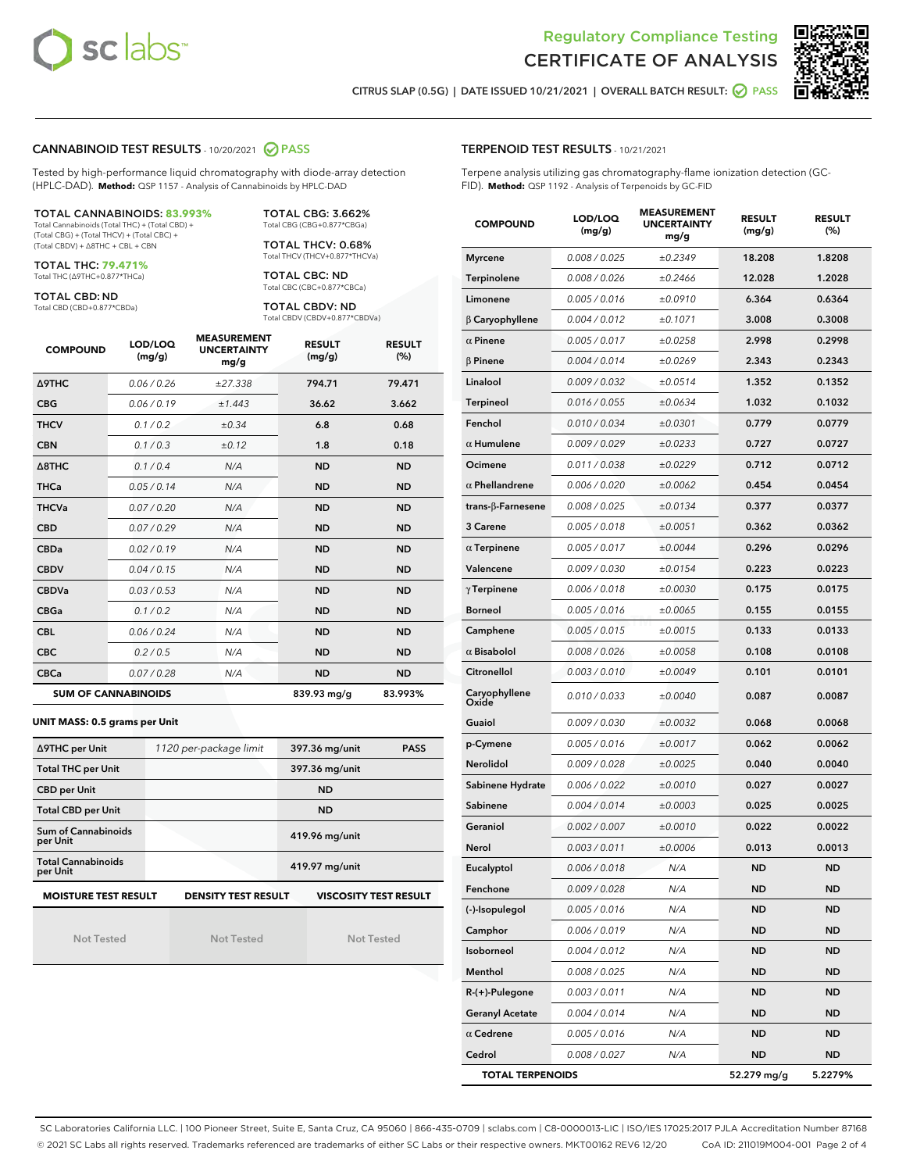



RESULT (%)

CITRUS SLAP (0.5G) | DATE ISSUED 10/21/2021 | OVERALL BATCH RESULT: ○ PASS

## CANNABINOID TEST RESULTS - 10/20/2021 2 PASS

Tested by high-performance liquid chromatography with diode-array detection (HPLC-DAD). **Method:** QSP 1157 - Analysis of Cannabinoids by HPLC-DAD

#### TOTAL CANNABINOIDS: **83.993%**

Total Cannabinoids (Total THC) + (Total CBD) + (Total CBG) + (Total THCV) + (Total CBC) + (Total CBDV) + ∆8THC + CBL + CBN

TOTAL THC: **79.471%** Total THC (∆9THC+0.877\*THCa)

TOTAL CBD: ND

Total CBD (CBD+0.877\*CBDa)

TOTAL CBG: 3.662% Total CBG (CBG+0.877\*CBGa)

TOTAL THCV: 0.68% Total THCV (THCV+0.877\*THCVa)

TOTAL CBC: ND Total CBC (CBC+0.877\*CBCa)

TOTAL CBDV: ND Total CBDV (CBDV+0.877\*CBDVa)

| <b>COMPOUND</b>            | LOD/LOQ<br>(mg/g) | <b>MEASUREMENT</b><br><b>UNCERTAINTY</b><br>mg/g | <b>RESULT</b><br>(mg/g) | <b>RESULT</b><br>(%) |
|----------------------------|-------------------|--------------------------------------------------|-------------------------|----------------------|
| Δ9THC                      | 0.06 / 0.26       | ±27.338                                          | 794.71                  | 79.471               |
| <b>CBG</b>                 | 0.06/0.19         | ±1.443                                           | 36.62                   | 3.662                |
| <b>THCV</b>                | 0.1/0.2           | $\pm 0.34$                                       | 6.8                     | 0.68                 |
| <b>CBN</b>                 | 0.1/0.3           | ±0.12                                            | 1.8                     | 0.18                 |
| $\triangle$ 8THC           | 0.1 / 0.4         | N/A                                              | <b>ND</b>               | <b>ND</b>            |
| <b>THCa</b>                | 0.05/0.14         | N/A                                              | <b>ND</b>               | <b>ND</b>            |
| <b>THCVa</b>               | 0.07/0.20         | N/A                                              | <b>ND</b>               | <b>ND</b>            |
| <b>CBD</b>                 | 0.07/0.29         | N/A                                              | <b>ND</b>               | <b>ND</b>            |
| <b>CBDa</b>                | 0.02/0.19         | N/A                                              | <b>ND</b>               | <b>ND</b>            |
| <b>CBDV</b>                | 0.04 / 0.15       | N/A                                              | <b>ND</b>               | <b>ND</b>            |
| <b>CBDVa</b>               | 0.03/0.53         | N/A                                              | <b>ND</b>               | <b>ND</b>            |
| <b>CBGa</b>                | 0.1/0.2           | N/A                                              | <b>ND</b>               | <b>ND</b>            |
| <b>CBL</b>                 | 0.06 / 0.24       | N/A                                              | <b>ND</b>               | <b>ND</b>            |
| <b>CBC</b>                 | 0.2 / 0.5         | N/A                                              | <b>ND</b>               | <b>ND</b>            |
| <b>CBCa</b>                | 0.07/0.28         | N/A                                              | <b>ND</b>               | <b>ND</b>            |
| <b>SUM OF CANNABINOIDS</b> |                   |                                                  | 839.93 mg/g             | 83.993%              |

**UNIT MASS: 0.5 grams per Unit**

| ∆9THC per Unit                        | 1120 per-package limit     | 397.36 mg/unit<br><b>PASS</b> |
|---------------------------------------|----------------------------|-------------------------------|
| <b>Total THC per Unit</b>             |                            | 397.36 mg/unit                |
| <b>CBD per Unit</b>                   |                            | <b>ND</b>                     |
| <b>Total CBD per Unit</b>             |                            | <b>ND</b>                     |
| Sum of Cannabinoids<br>per Unit       |                            | 419.96 mg/unit                |
| <b>Total Cannabinoids</b><br>per Unit |                            | 419.97 mg/unit                |
| <b>MOISTURE TEST RESULT</b>           | <b>DENSITY TEST RESULT</b> | <b>VISCOSITY TEST RESULT</b>  |

Not Tested

| Not Tested |  |  |
|------------|--|--|
|            |  |  |

Not Tested

| <b>Myrcene</b>         | 0.008 / 0.025 | ±0.2349 | 18.208    | 1.8208    |
|------------------------|---------------|---------|-----------|-----------|
| Terpinolene            | 0.008 / 0.026 | ±0.2466 | 12.028    | 1.2028    |
| Limonene               | 0.005 / 0.016 | ±0.0910 | 6.364     | 0.6364    |
| β Caryophyllene        | 0.004 / 0.012 | ±0.1071 | 3.008     | 0.3008    |
| $\alpha$ Pinene        | 0.005 / 0.017 | ±0.0258 | 2.998     | 0.2998    |
| <b>B</b> Pinene        | 0.004 / 0.014 | ±0.0269 | 2.343     | 0.2343    |
| Linalool               | 0.009 / 0.032 | ±0.0514 | 1.352     | 0.1352    |
| <b>Terpineol</b>       | 0.016 / 0.055 | ±0.0634 | 1.032     | 0.1032    |
| Fenchol                | 0.010 / 0.034 | ±0.0301 | 0.779     | 0.0779    |
| $\alpha$ Humulene      | 0.009 / 0.029 | ±0.0233 | 0.727     | 0.0727    |
| Ocimene                | 0.011 / 0.038 | ±0.0229 | 0.712     | 0.0712    |
| $\alpha$ Phellandrene  | 0.006 / 0.020 | ±0.0062 | 0.454     | 0.0454    |
| trans-β-Farnesene      | 0.008 / 0.025 | ±0.0134 | 0.377     | 0.0377    |
| 3 Carene               | 0.005 / 0.018 | ±0.0051 | 0.362     | 0.0362    |
| $\alpha$ Terpinene     | 0.005 / 0.017 | ±0.0044 | 0.296     | 0.0296    |
| Valencene              | 0.009 / 0.030 | ±0.0154 | 0.223     | 0.0223    |
| $\gamma$ Terpinene     | 0.006 / 0.018 | ±0.0030 | 0.175     | 0.0175    |
| <b>Borneol</b>         | 0.005 / 0.016 | ±0.0065 | 0.155     | 0.0155    |
| Camphene               | 0.005 / 0.015 | ±0.0015 | 0.133     | 0.0133    |
| $\alpha$ Bisabolol     | 0.008 / 0.026 | ±0.0058 | 0.108     | 0.0108    |
| Citronellol            | 0.003 / 0.010 | ±0.0049 | 0.101     | 0.0101    |
| Caryophyllene<br>Oxide | 0.010 / 0.033 | ±0.0040 | 0.087     | 0.0087    |
| Guaiol                 | 0.009 / 0.030 | ±0.0032 | 0.068     | 0.0068    |
| p-Cymene               | 0.005 / 0.016 | ±0.0017 | 0.062     | 0.0062    |
| Nerolidol              | 0.009 / 0.028 | ±0.0025 | 0.040     | 0.0040    |
| Sabinene Hydrate       | 0.006 / 0.022 | ±0.0010 | 0.027     | 0.0027    |
| Sabinene               | 0.004 / 0.014 | ±0.0003 | 0.025     | 0.0025    |
| Geraniol               | 0.002 / 0.007 | ±0.0010 | 0.022     | 0.0022    |
| Nerol                  | 0.003 / 0.011 | ±0.0006 | 0.013     | 0.0013    |
| Eucalyptol             | 0.006 / 0.018 | N/A     | <b>ND</b> | <b>ND</b> |
| Fenchone               | 0.009 / 0.028 | N/A     | <b>ND</b> | <b>ND</b> |
| (-)-Isopulegol         | 0.005 / 0.016 | N/A     | <b>ND</b> | <b>ND</b> |
| Camphor                | 0.006 / 0.019 | N/A     | <b>ND</b> | <b>ND</b> |
| Isoborneol             | 0.004 / 0.012 | N/A     | <b>ND</b> | <b>ND</b> |
| Menthol                | 0.008 / 0.025 | N/A     | <b>ND</b> | <b>ND</b> |
| R-(+)-Pulegone         | 0.003 / 0.011 | N/A     | <b>ND</b> | <b>ND</b> |
| <b>Geranyl Acetate</b> | 0.004 / 0.014 | N/A     | <b>ND</b> | <b>ND</b> |

 $\alpha$  Cedrene  $0.005 / 0.016$  N/A ND ND Cedrol 0.008 / 0.027 N/A ND ND TOTAL TERPENOIDS 52.279 mg/g 5.2279%

SC Laboratories California LLC. | 100 Pioneer Street, Suite E, Santa Cruz, CA 95060 | 866-435-0709 | sclabs.com | C8-0000013-LIC | ISO/IES 17025:2017 PJLA Accreditation Number 87168 © 2021 SC Labs all rights reserved. Trademarks referenced are trademarks of either SC Labs or their respective owners. MKT00162 REV6 12/20 CoA ID: 211019M004-001 Page 2 of 4

## TERPENOID TEST RESULTS - 10/21/2021

(mg/g)

COMPOUND LOD/LOQ

Terpene analysis utilizing gas chromatography-flame ionization detection (GC-FID). **Method:** QSP 1192 - Analysis of Terpenoids by GC-FID

> MEASUREMENT UNCERTAINTY mg/g

RESULT (mg/g)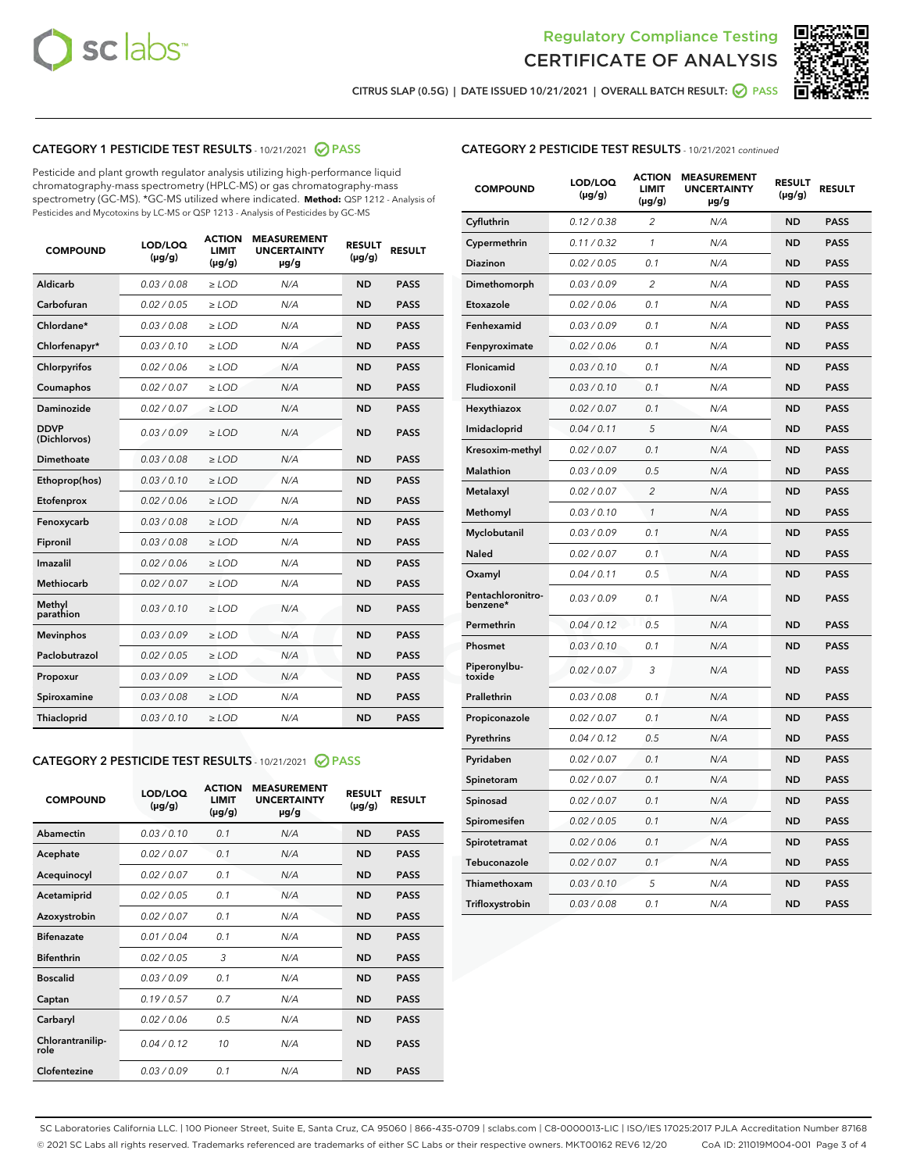



CITRUS SLAP (0.5G) | DATE ISSUED 10/21/2021 | OVERALL BATCH RESULT:  $\bigcirc$  PASS

## CATEGORY 1 PESTICIDE TEST RESULTS - 10/21/2021 2 PASS

Pesticide and plant growth regulator analysis utilizing high-performance liquid chromatography-mass spectrometry (HPLC-MS) or gas chromatography-mass spectrometry (GC-MS). \*GC-MS utilized where indicated. **Method:** QSP 1212 - Analysis of Pesticides and Mycotoxins by LC-MS or QSP 1213 - Analysis of Pesticides by GC-MS

| <b>COMPOUND</b>             | LOD/LOQ<br>$(\mu g/g)$ | <b>ACTION</b><br>LIMIT<br>$(\mu g/g)$ | <b>MEASUREMENT</b><br><b>UNCERTAINTY</b><br>$\mu$ g/g | <b>RESULT</b><br>$(\mu g/g)$ | <b>RESULT</b> |
|-----------------------------|------------------------|---------------------------------------|-------------------------------------------------------|------------------------------|---------------|
| Aldicarb                    | 0.03 / 0.08            | $\ge$ LOD                             | N/A                                                   | <b>ND</b>                    | <b>PASS</b>   |
| Carbofuran                  | 0.02 / 0.05            | $\ge$ LOD                             | N/A                                                   | <b>ND</b>                    | <b>PASS</b>   |
| Chlordane*                  | 0.03 / 0.08            | $\ge$ LOD                             | N/A                                                   | <b>ND</b>                    | <b>PASS</b>   |
| Chlorfenapyr*               | 0.03/0.10              | $\ge$ LOD                             | N/A                                                   | <b>ND</b>                    | <b>PASS</b>   |
| Chlorpyrifos                | 0.02/0.06              | $>$ LOD                               | N/A                                                   | <b>ND</b>                    | <b>PASS</b>   |
| Coumaphos                   | 0.02 / 0.07            | $\ge$ LOD                             | N/A                                                   | <b>ND</b>                    | <b>PASS</b>   |
| Daminozide                  | 0.02/0.07              | $>$ LOD                               | N/A                                                   | <b>ND</b>                    | <b>PASS</b>   |
| <b>DDVP</b><br>(Dichlorvos) | 0.03/0.09              | $\ge$ LOD                             | N/A                                                   | <b>ND</b>                    | <b>PASS</b>   |
| Dimethoate                  | 0.03/0.08              | $>$ LOD                               | N/A                                                   | <b>ND</b>                    | <b>PASS</b>   |
| Ethoprop(hos)               | 0.03/0.10              | $\ge$ LOD                             | N/A                                                   | <b>ND</b>                    | <b>PASS</b>   |
| Etofenprox                  | 0.02/0.06              | $>$ LOD                               | N/A                                                   | <b>ND</b>                    | <b>PASS</b>   |
| Fenoxycarb                  | 0.03/0.08              | $\ge$ LOD                             | N/A                                                   | <b>ND</b>                    | <b>PASS</b>   |
| Fipronil                    | 0.03/0.08              | $\ge$ LOD                             | N/A                                                   | <b>ND</b>                    | <b>PASS</b>   |
| Imazalil                    | 0.02 / 0.06            | $>$ LOD                               | N/A                                                   | <b>ND</b>                    | <b>PASS</b>   |
| Methiocarb                  | 0.02 / 0.07            | $\ge$ LOD                             | N/A                                                   | <b>ND</b>                    | <b>PASS</b>   |
| Methyl<br>parathion         | 0.03/0.10              | $\ge$ LOD                             | N/A                                                   | <b>ND</b>                    | <b>PASS</b>   |
| <b>Mevinphos</b>            | 0.03/0.09              | $\ge$ LOD                             | N/A                                                   | <b>ND</b>                    | <b>PASS</b>   |
| Paclobutrazol               | 0.02 / 0.05            | $\ge$ LOD                             | N/A                                                   | <b>ND</b>                    | <b>PASS</b>   |
| Propoxur                    | 0.03/0.09              | $\ge$ LOD                             | N/A                                                   | <b>ND</b>                    | <b>PASS</b>   |
| Spiroxamine                 | 0.03 / 0.08            | $\ge$ LOD                             | N/A                                                   | <b>ND</b>                    | <b>PASS</b>   |
| Thiacloprid                 | 0.03/0.10              | $\ge$ LOD                             | N/A                                                   | <b>ND</b>                    | <b>PASS</b>   |

## CATEGORY 2 PESTICIDE TEST RESULTS - 10/21/2021 @ PASS

| <b>COMPOUND</b>          | LOD/LOQ<br>$(\mu g/g)$ | <b>ACTION</b><br>LIMIT<br>$(\mu g/g)$ | <b>MEASUREMENT</b><br><b>UNCERTAINTY</b><br>$\mu$ g/g | <b>RESULT</b><br>$(\mu g/g)$ | <b>RESULT</b> |
|--------------------------|------------------------|---------------------------------------|-------------------------------------------------------|------------------------------|---------------|
| Abamectin                | 0.03/0.10              | 0.1                                   | N/A                                                   | <b>ND</b>                    | <b>PASS</b>   |
| Acephate                 | 0.02/0.07              | 0.1                                   | N/A                                                   | <b>ND</b>                    | <b>PASS</b>   |
| Acequinocyl              | 0.02/0.07              | 0.1                                   | N/A                                                   | <b>ND</b>                    | <b>PASS</b>   |
| Acetamiprid              | 0.02/0.05              | 0.1                                   | N/A                                                   | <b>ND</b>                    | <b>PASS</b>   |
| Azoxystrobin             | 0.02/0.07              | 0.1                                   | N/A                                                   | <b>ND</b>                    | <b>PASS</b>   |
| <b>Bifenazate</b>        | 0.01/0.04              | 0.1                                   | N/A                                                   | <b>ND</b>                    | <b>PASS</b>   |
| <b>Bifenthrin</b>        | 0.02/0.05              | 3                                     | N/A                                                   | <b>ND</b>                    | <b>PASS</b>   |
| <b>Boscalid</b>          | 0.03/0.09              | 0.1                                   | N/A                                                   | <b>ND</b>                    | <b>PASS</b>   |
| Captan                   | 0.19/0.57              | 0.7                                   | N/A                                                   | <b>ND</b>                    | <b>PASS</b>   |
| Carbaryl                 | 0.02/0.06              | 0.5                                   | N/A                                                   | <b>ND</b>                    | <b>PASS</b>   |
| Chlorantranilip-<br>role | 0.04/0.12              | 10                                    | N/A                                                   | <b>ND</b>                    | <b>PASS</b>   |
| Clofentezine             | 0.03/0.09              | 0.1                                   | N/A                                                   | <b>ND</b>                    | <b>PASS</b>   |

## CATEGORY 2 PESTICIDE TEST RESULTS - 10/21/2021 continued

| <b>COMPOUND</b>               | LOD/LOQ<br>(µg/g) | <b>ACTION</b><br><b>LIMIT</b><br>$(\mu g/g)$ | <b>MEASUREMENT</b><br><b>UNCERTAINTY</b><br>µg/g | <b>RESULT</b><br>(µg/g) | <b>RESULT</b> |
|-------------------------------|-------------------|----------------------------------------------|--------------------------------------------------|-------------------------|---------------|
| Cyfluthrin                    | 0.12 / 0.38       | $\overline{c}$                               | N/A                                              | ND                      | <b>PASS</b>   |
| Cypermethrin                  | 0.11 / 0.32       | 1                                            | N/A                                              | <b>ND</b>               | PASS          |
| <b>Diazinon</b>               | 0.02 / 0.05       | 0.1                                          | N/A                                              | <b>ND</b>               | <b>PASS</b>   |
| Dimethomorph                  | 0.03 / 0.09       | 2                                            | N/A                                              | ND                      | PASS          |
| Etoxazole                     | 0.02 / 0.06       | 0.1                                          | N/A                                              | ND                      | PASS          |
| Fenhexamid                    | 0.03 / 0.09       | 0.1                                          | N/A                                              | ND                      | <b>PASS</b>   |
| Fenpyroximate                 | 0.02 / 0.06       | 0.1                                          | N/A                                              | ND                      | <b>PASS</b>   |
| Flonicamid                    | 0.03 / 0.10       | 0.1                                          | N/A                                              | ND                      | PASS          |
| Fludioxonil                   | 0.03 / 0.10       | 0.1                                          | N/A                                              | ND                      | PASS          |
| Hexythiazox                   | 0.02 / 0.07       | 0.1                                          | N/A                                              | <b>ND</b>               | <b>PASS</b>   |
| Imidacloprid                  | 0.04 / 0.11       | 5                                            | N/A                                              | ND                      | <b>PASS</b>   |
| Kresoxim-methyl               | 0.02 / 0.07       | 0.1                                          | N/A                                              | ND                      | <b>PASS</b>   |
| <b>Malathion</b>              | 0.03 / 0.09       | 0.5                                          | N/A                                              | <b>ND</b>               | <b>PASS</b>   |
| Metalaxyl                     | 0.02 / 0.07       | $\overline{c}$                               | N/A                                              | <b>ND</b>               | PASS          |
| Methomyl                      | 0.03 / 0.10       | 1                                            | N/A                                              | ND                      | <b>PASS</b>   |
| Myclobutanil                  | 0.03/0.09         | 0.1                                          | N/A                                              | <b>ND</b>               | <b>PASS</b>   |
| Naled                         | 0.02 / 0.07       | 0.1                                          | N/A                                              | <b>ND</b>               | <b>PASS</b>   |
| Oxamyl                        | 0.04 / 0.11       | 0.5                                          | N/A                                              | ND                      | PASS          |
| Pentachloronitro-<br>benzene* | 0.03 / 0.09       | 0.1                                          | N/A                                              | <b>ND</b>               | <b>PASS</b>   |
| Permethrin                    | 0.04 / 0.12       | 0.5                                          | N/A                                              | <b>ND</b>               | <b>PASS</b>   |
| Phosmet                       | 0.03 / 0.10       | 0.1                                          | N/A                                              | ND                      | <b>PASS</b>   |
| Piperonylbu-<br>toxide        | 0.02 / 0.07       | 3                                            | N/A                                              | <b>ND</b>               | <b>PASS</b>   |
| Prallethrin                   | 0.03 / 0.08       | 0.1                                          | N/A                                              | <b>ND</b>               | <b>PASS</b>   |
| Propiconazole                 | 0.02 / 0.07       | 0.1                                          | N/A                                              | <b>ND</b>               | <b>PASS</b>   |
| Pyrethrins                    | 0.04 / 0.12       | 0.5                                          | N/A                                              | ND                      | <b>PASS</b>   |
| Pyridaben                     | 0.02 / 0.07       | 0.1                                          | N/A                                              | ND                      | <b>PASS</b>   |
| Spinetoram                    | 0.02 / 0.07       | 0.1                                          | N/A                                              | ND                      | <b>PASS</b>   |
| Spinosad                      | 0.02 / 0.07       | 0.1                                          | N/A                                              | <b>ND</b>               | PASS          |
| Spiromesifen                  | 0.02 / 0.05       | 0.1                                          | N/A                                              | ND                      | <b>PASS</b>   |
| Spirotetramat                 | 0.02 / 0.06       | 0.1                                          | N/A                                              | ND                      | <b>PASS</b>   |
| Tebuconazole                  | 0.02 / 0.07       | 0.1                                          | N/A                                              | ND                      | <b>PASS</b>   |
| Thiamethoxam                  | 0.03 / 0.10       | 5                                            | N/A                                              | ND                      | <b>PASS</b>   |
| Trifloxystrobin               | 0.03 / 0.08       | 0.1                                          | N/A                                              | <b>ND</b>               | <b>PASS</b>   |

SC Laboratories California LLC. | 100 Pioneer Street, Suite E, Santa Cruz, CA 95060 | 866-435-0709 | sclabs.com | C8-0000013-LIC | ISO/IES 17025:2017 PJLA Accreditation Number 87168 © 2021 SC Labs all rights reserved. Trademarks referenced are trademarks of either SC Labs or their respective owners. MKT00162 REV6 12/20 CoA ID: 211019M004-001 Page 3 of 4